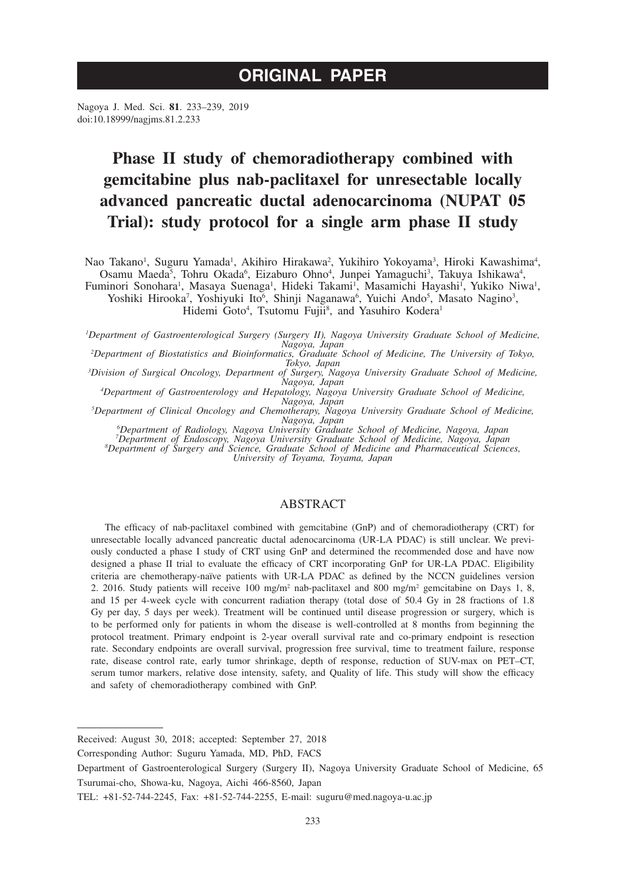# **ORIGINAL PAPER**

Nagoya J. Med. Sci. **81**. 233–239, 2019 doi:10.18999/nagjms.81.2.233

# **Phase II study of chemoradiotherapy combined with gemcitabine plus nab-paclitaxel for unresectable locally advanced pancreatic ductal adenocarcinoma (NUPAT 05 Trial): study protocol for a single arm phase II study**

Nao Takano<sup>1</sup>, Suguru Yamada<sup>1</sup>, Akihiro Hirakawa<sup>2</sup>, Yukihiro Yokoyama<sup>3</sup>, Hiroki Kawashima<sup>4</sup>, Osamu Maeda<sup>5</sup>, Tohru Okada<sup>6</sup>, Eizaburo Ohno<sup>4</sup>, Junpei Yamaguchi<sup>3</sup>, Takuya Ishikawa<sup>4</sup>, Fuminori Sonohara<sup>1</sup>, Masaya Suenaga<sup>1</sup>, Hideki Takami<sup>1</sup>, Masamichi Hayashi<sup>1</sup>, Yukiko Niwa<sup>1</sup>, Yoshiki Hirooka<sup>7</sup>, Yoshiyuki Ito<sup>6</sup>, Shinji Naganawa<sup>6</sup>, Yuichi Ando<sup>5</sup>, Masato Nagino<sup>3</sup>, Hidemi Goto<sup>4</sup>, Tsutomu Fujii<sup>8</sup>, and Yasuhiro Kodera<sup>1</sup>

*1 Department of Gastroenterological Surgery (Surgery II), Nagoya University Graduate School of Medicine, Nagoya, Japan <sup>2</sup> Department of Biostatistics and Bioinformatics, Graduate School of Medicine, The University of Tokyo,* 

*Tokyo, Japan*<br>
<sup>3</sup> *Division of Surgical Oncology, Department of Surgery, Nagoya University Graduate School of Medicine,*<br>
<sup>4</sup> *Appartment of Gastroenterology and Henatology, Japana University Graduate School of Medicine* 

*Department of Gastroenterology and Hepatology, Nagoya University Graduate School of Medicine, Nagoya, Japan <sup>5</sup> Department of Clinical Oncology and Chemotherapy, Nagoya University Graduate School of Medicine,* 

*Nagoya, Japan <sup>6</sup> Department of Radiology, Nagoya University Graduate School of Medicine, Nagoya, Japan*

*7 Department of Endoscopy, Nagoya University Graduate School of Medicine, Nagoya, Japan <sup>8</sup> Department of Surgery and Science, Graduate School of Medicine and Pharmaceutical Sciences,* 

*University of Toyama, Toyama, Japan*

## ABSTRACT

The efficacy of nab-paclitaxel combined with gemcitabine (GnP) and of chemoradiotherapy (CRT) for unresectable locally advanced pancreatic ductal adenocarcinoma (UR-LA PDAC) is still unclear. We previously conducted a phase I study of CRT using GnP and determined the recommended dose and have now designed a phase II trial to evaluate the efficacy of CRT incorporating GnP for UR-LA PDAC. Eligibility criteria are chemotherapy-naïve patients with UR-LA PDAC as defined by the NCCN guidelines version 2. 2016. Study patients will receive 100 mg/m<sup>2</sup> nab-paclitaxel and 800 mg/m<sup>2</sup> gemcitabine on Days 1, 8, and 15 per 4-week cycle with concurrent radiation therapy (total dose of 50.4 Gy in 28 fractions of 1.8 Gy per day, 5 days per week). Treatment will be continued until disease progression or surgery, which is to be performed only for patients in whom the disease is well-controlled at 8 months from beginning the protocol treatment. Primary endpoint is 2-year overall survival rate and co-primary endpoint is resection rate. Secondary endpoints are overall survival, progression free survival, time to treatment failure, response rate, disease control rate, early tumor shrinkage, depth of response, reduction of SUV-max on PET–CT, serum tumor markers, relative dose intensity, safety, and Quality of life. This study will show the efficacy and safety of chemoradiotherapy combined with GnP.

Received: August 30, 2018; accepted: September 27, 2018

Corresponding Author: Suguru Yamada, MD, PhD, FACS

Department of Gastroenterological Surgery (Surgery II), Nagoya University Graduate School of Medicine, 65 Tsurumai-cho, Showa-ku, Nagoya, Aichi 466-8560, Japan

TEL: +81-52-744-2245, Fax: +81-52-744-2255, E-mail: suguru@med.nagoya-u.ac.jp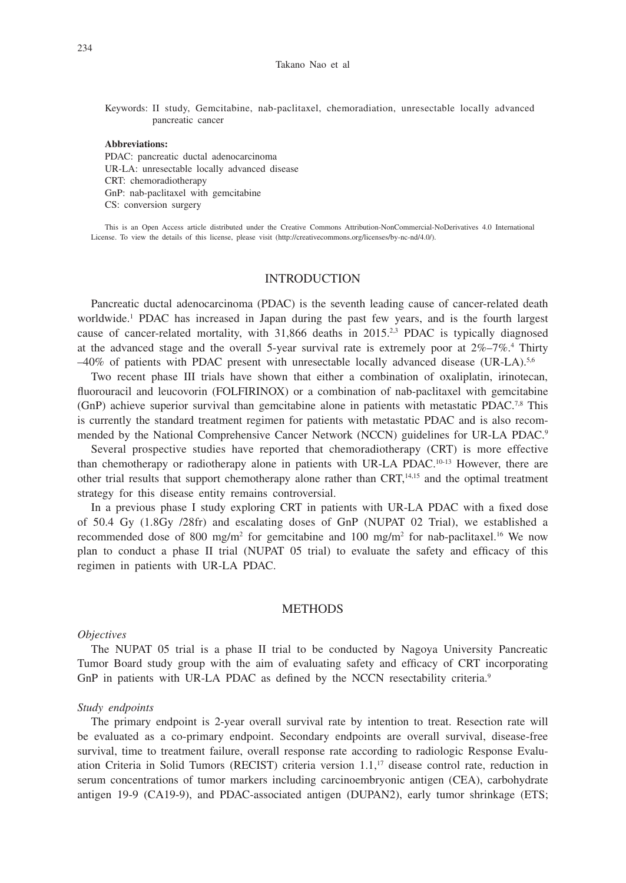Keywords: II study, Gemcitabine, nab-paclitaxel, chemoradiation, unresectable locally advanced pancreatic cancer

## **Abbreviations:**

PDAC: pancreatic ductal adenocarcinoma UR-LA: unresectable locally advanced disease CRT: chemoradiotherapy GnP: nab-paclitaxel with gemcitabine CS: conversion surgery

This is an Open Access article distributed under the Creative Commons Attribution-NonCommercial-NoDerivatives 4.0 International License. To view the details of this license, please visit (http://creativecommons.org/licenses/by-nc-nd/4.0/).

# INTRODUCTION

Pancreatic ductal adenocarcinoma (PDAC) is the seventh leading cause of cancer-related death worldwide.<sup>1</sup> PDAC has increased in Japan during the past few years, and is the fourth largest cause of cancer-related mortality, with 31,866 deaths in 2015.<sup>2,3</sup> PDAC is typically diagnosed at the advanced stage and the overall 5-year survival rate is extremely poor at  $2\%$ –7%.<sup>4</sup> Thirty  $-40\%$  of patients with PDAC present with unresectable locally advanced disease (UR-LA).<sup>5,6</sup>

Two recent phase III trials have shown that either a combination of oxaliplatin, irinotecan, fluorouracil and leucovorin (FOLFIRINOX) or a combination of nab-paclitaxel with gemcitabine (GnP) achieve superior survival than gemcitabine alone in patients with metastatic PDAC.7,8 This is currently the standard treatment regimen for patients with metastatic PDAC and is also recommended by the National Comprehensive Cancer Network (NCCN) guidelines for UR-LA PDAC.9

Several prospective studies have reported that chemoradiotherapy (CRT) is more effective than chemotherapy or radiotherapy alone in patients with UR-LA PDAC.10-13 However, there are other trial results that support chemotherapy alone rather than CRT,14,15 and the optimal treatment strategy for this disease entity remains controversial.

In a previous phase I study exploring CRT in patients with UR-LA PDAC with a fixed dose of 50.4 Gy (1.8Gy /28fr) and escalating doses of GnP (NUPAT 02 Trial), we established a recommended dose of 800 mg/m<sup>2</sup> for gemcitabine and 100 mg/m<sup>2</sup> for nab-paclitaxel.<sup>16</sup> We now plan to conduct a phase II trial (NUPAT 05 trial) to evaluate the safety and efficacy of this regimen in patients with UR-LA PDAC.

#### **METHODS**

#### *Objectives*

The NUPAT 05 trial is a phase II trial to be conducted by Nagoya University Pancreatic Tumor Board study group with the aim of evaluating safety and efficacy of CRT incorporating GnP in patients with UR-LA PDAC as defined by the NCCN resectability criteria.<sup>9</sup>

#### *Study endpoints*

The primary endpoint is 2-year overall survival rate by intention to treat. Resection rate will be evaluated as a co-primary endpoint. Secondary endpoints are overall survival, disease-free survival, time to treatment failure, overall response rate according to radiologic Response Evaluation Criteria in Solid Tumors (RECIST) criteria version 1.1,17 disease control rate, reduction in serum concentrations of tumor markers including carcinoembryonic antigen (CEA), carbohydrate antigen 19-9 (CA19-9), and PDAC-associated antigen (DUPAN2), early tumor shrinkage (ETS;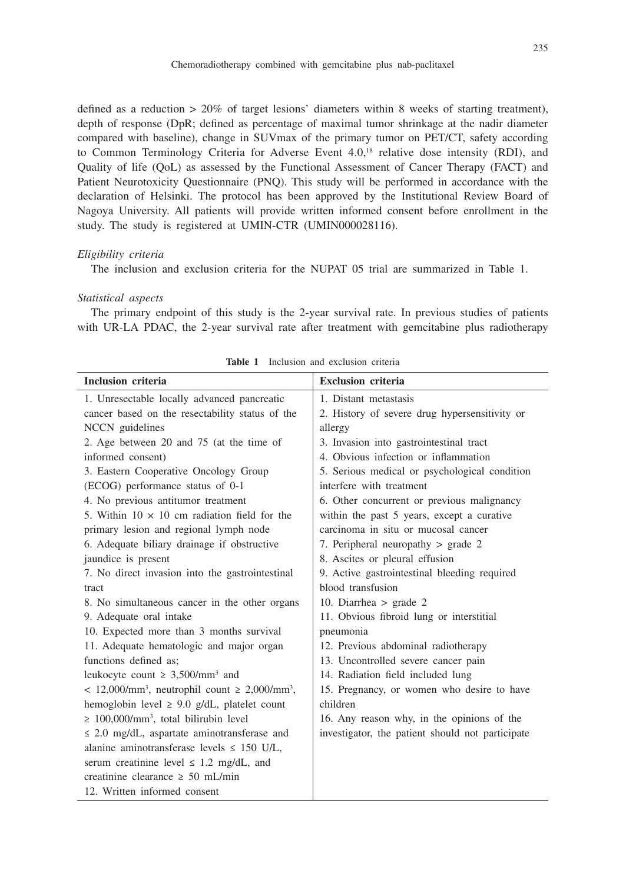defined as a reduction  $> 20\%$  of target lesions' diameters within 8 weeks of starting treatment), depth of response (DpR; defined as percentage of maximal tumor shrinkage at the nadir diameter compared with baseline), change in SUVmax of the primary tumor on PET/CT, safety according to Common Terminology Criteria for Adverse Event 4.0,<sup>18</sup> relative dose intensity (RDI), and Quality of life (QoL) as assessed by the Functional Assessment of Cancer Therapy (FACT) and Patient Neurotoxicity Questionnaire (PNQ). This study will be performed in accordance with the declaration of Helsinki. The protocol has been approved by the Institutional Review Board of Nagoya University. All patients will provide written informed consent before enrollment in the study. The study is registered at UMIN-CTR (UMIN000028116).

## *Eligibility criteria*

The inclusion and exclusion criteria for the NUPAT 05 trial are summarized in Table 1.

## *Statistical aspects*

The primary endpoint of this study is the 2-year survival rate. In previous studies of patients with UR-LA PDAC, the 2-year survival rate after treatment with gemcitabine plus radiotherapy

| <b>Inclusion criteria</b>                                            | <b>Exclusion criteria</b>                        |
|----------------------------------------------------------------------|--------------------------------------------------|
| 1. Unresectable locally advanced pancreatic                          | 1. Distant metastasis                            |
| cancer based on the resectability status of the                      | 2. History of severe drug hypersensitivity or    |
| NCCN guidelines                                                      | allergy                                          |
| 2. Age between 20 and 75 (at the time of                             | 3. Invasion into gastrointestinal tract          |
| informed consent)                                                    | 4. Obvious infection or inflammation             |
| 3. Eastern Cooperative Oncology Group                                | 5. Serious medical or psychological condition    |
| (ECOG) performance status of 0-1                                     | interfere with treatment                         |
| 4. No previous antitumor treatment                                   | 6. Other concurrent or previous malignancy       |
| 5. Within $10 \times 10$ cm radiation field for the                  | within the past 5 years, except a curative       |
| primary lesion and regional lymph node                               | carcinoma in situ or mucosal cancer              |
| 6. Adequate biliary drainage if obstructive                          | 7. Peripheral neuropathy $>$ grade 2             |
| jaundice is present                                                  | 8. Ascites or pleural effusion                   |
| 7. No direct invasion into the gastrointestinal                      | 9. Active gastrointestinal bleeding required     |
| tract                                                                | blood transfusion                                |
| 8. No simultaneous cancer in the other organs                        | 10. Diarrhea $>$ grade 2                         |
| 9. Adequate oral intake                                              | 11. Obvious fibroid lung or interstitial         |
| 10. Expected more than 3 months survival                             | pneumonia                                        |
| 11. Adequate hematologic and major organ                             | 12. Previous abdominal radiotherapy              |
| functions defined as:                                                | 13. Uncontrolled severe cancer pain              |
| leukocyte count $\geq 3,500/\text{mm}^3$ and                         | 14. Radiation field included lung                |
| $< 12,000/\text{mm}^3$ , neutrophil count $\geq 2,000/\text{mm}^3$ , | 15. Pregnancy, or women who desire to have       |
| hemoglobin level $\geq 9.0$ g/dL, platelet count                     | children                                         |
| $\geq 100,000/\text{mm}^3$ , total bilirubin level                   | 16. Any reason why, in the opinions of the       |
| $\leq$ 2.0 mg/dL, aspartate aminotransferase and                     | investigator, the patient should not participate |
| alanine aminotransferase levels $\leq$ 150 U/L,                      |                                                  |
| serum creatinine level $\leq 1.2$ mg/dL, and                         |                                                  |
| creatinine clearance $\geq 50$ mL/min                                |                                                  |
| 12. Written informed consent                                         |                                                  |

**Table 1** Inclusion and exclusion criteria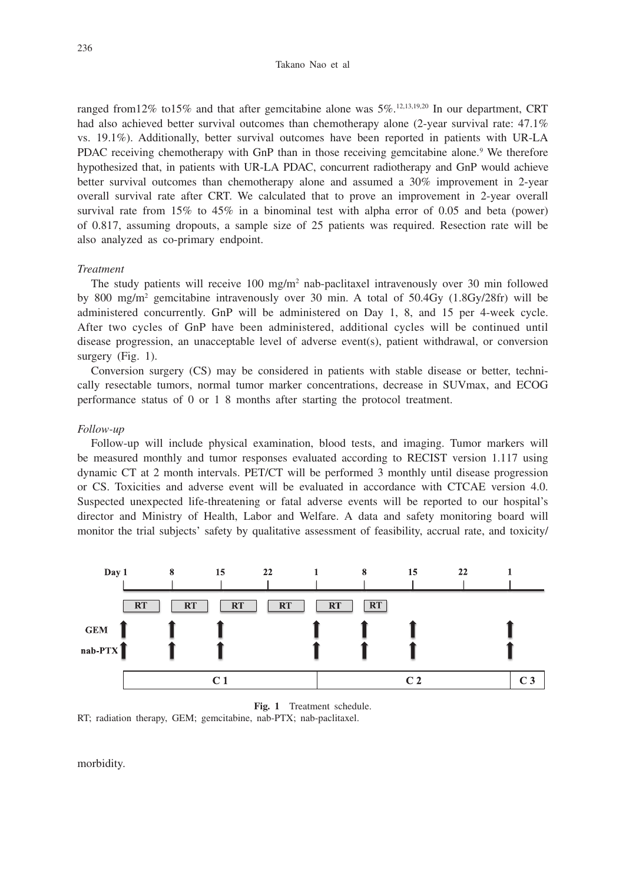ranged from 12% to 15% and that after gemcitabine alone was  $5\%$ .<sup>12,13,19,20</sup> In our department, CRT had also achieved better survival outcomes than chemotherapy alone (2-year survival rate: 47.1%) vs. 19.1%). Additionally, better survival outcomes have been reported in patients with UR-LA PDAC receiving chemotherapy with GnP than in those receiving gemcitabine alone.<sup>9</sup> We therefore hypothesized that, in patients with UR-LA PDAC, concurrent radiotherapy and GnP would achieve better survival outcomes than chemotherapy alone and assumed a 30% improvement in 2-year overall survival rate after CRT. We calculated that to prove an improvement in 2-year overall survival rate from 15% to 45% in a binominal test with alpha error of 0.05 and beta (power) of 0.817, assuming dropouts, a sample size of 25 patients was required. Resection rate will be also analyzed as co-primary endpoint.

### *Treatment*

The study patients will receive 100 mg/m<sup>2</sup> nab-paclitaxel intravenously over 30 min followed by 800 mg/m2 gemcitabine intravenously over 30 min. A total of 50.4Gy (1.8Gy/28fr) will be administered concurrently. GnP will be administered on Day 1, 8, and 15 per 4-week cycle. After two cycles of GnP have been administered, additional cycles will be continued until disease progression, an unacceptable level of adverse event(s), patient withdrawal, or conversion surgery (Fig. 1).

Conversion surgery (CS) may be considered in patients with stable disease or better, technically resectable tumors, normal tumor marker concentrations, decrease in SUVmax, and ECOG performance status of 0 or 1 8 months after starting the protocol treatment.

#### *Follow-up*

Follow-up will include physical examination, blood tests, and imaging. Tumor markers will be measured monthly and tumor responses evaluated according to RECIST version 1.117 using dynamic CT at 2 month intervals. PET/CT will be performed 3 monthly until disease progression or CS. Toxicities and adverse event will be evaluated in accordance with CTCAE version 4.0. Suspected unexpected life-threatening or fatal adverse events will be reported to our hospital's director and Ministry of Health, Labor and Welfare. A data and safety monitoring board will monitor the trial subjects' safety by qualitative assessment of feasibility, accrual rate, and toxicity/



**Fig. 1** Treatment schedule. RT; radiation therapy, GEM; gemcitabine, nab-PTX; nab-paclitaxel.

morbidity.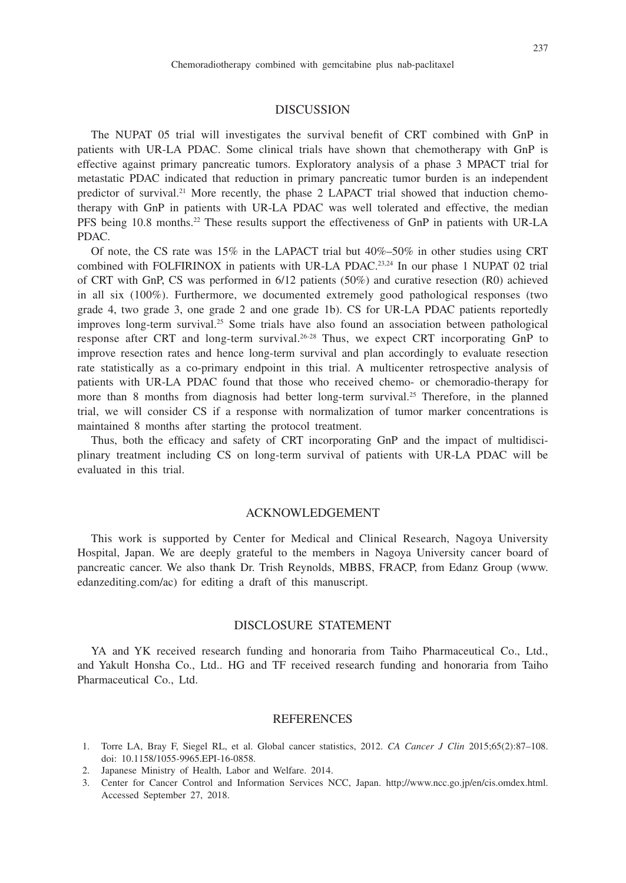### DISCUSSION

The NUPAT 05 trial will investigates the survival benefit of CRT combined with GnP in patients with UR-LA PDAC. Some clinical trials have shown that chemotherapy with GnP is effective against primary pancreatic tumors. Exploratory analysis of a phase 3 MPACT trial for metastatic PDAC indicated that reduction in primary pancreatic tumor burden is an independent predictor of survival.<sup>21</sup> More recently, the phase 2 LAPACT trial showed that induction chemotherapy with GnP in patients with UR-LA PDAC was well tolerated and effective, the median PFS being 10.8 months.<sup>22</sup> These results support the effectiveness of GnP in patients with UR-LA PDAC.

Of note, the CS rate was  $15\%$  in the LAPACT trial but  $40\% - 50\%$  in other studies using CRT combined with FOLFIRINOX in patients with UR-LA PDAC.<sup>23,24</sup> In our phase 1 NUPAT 02 trial of CRT with GnP, CS was performed in 6/12 patients (50%) and curative resection (R0) achieved in all six (100%). Furthermore, we documented extremely good pathological responses (two grade 4, two grade 3, one grade 2 and one grade 1b). CS for UR-LA PDAC patients reportedly improves long-term survival.<sup>25</sup> Some trials have also found an association between pathological response after CRT and long-term survival.26-28 Thus, we expect CRT incorporating GnP to improve resection rates and hence long-term survival and plan accordingly to evaluate resection rate statistically as a co-primary endpoint in this trial. A multicenter retrospective analysis of patients with UR-LA PDAC found that those who received chemo- or chemoradio-therapy for more than 8 months from diagnosis had better long-term survival.<sup>25</sup> Therefore, in the planned trial, we will consider CS if a response with normalization of tumor marker concentrations is maintained 8 months after starting the protocol treatment.

Thus, both the efficacy and safety of CRT incorporating GnP and the impact of multidisciplinary treatment including CS on long-term survival of patients with UR-LA PDAC will be evaluated in this trial.

## ACKNOWLEDGEMENT

This work is supported by Center for Medical and Clinical Research, Nagoya University Hospital, Japan. We are deeply grateful to the members in Nagoya University cancer board of pancreatic cancer. We also thank Dr. Trish Reynolds, MBBS, FRACP, from Edanz Group (www. edanzediting.com/ac) for editing a draft of this manuscript.

# DISCLOSURE STATEMENT

YA and YK received research funding and honoraria from Taiho Pharmaceutical Co., Ltd., and Yakult Honsha Co., Ltd.. HG and TF received research funding and honoraria from Taiho Pharmaceutical Co., Ltd.

#### **REFERENCES**

- 1. Torre LA, Bray F, Siegel RL, et al. Global cancer statistics, 2012. *CA Cancer J Clin* 2015;65(2):87–108. doi: 10.1158/1055-9965.EPI-16-0858.
- 2. Japanese Ministry of Health, Labor and Welfare. 2014.
- 3. Center for Cancer Control and Information Services NCC, Japan. http;//www.ncc.go.jp/en/cis.omdex.html. Accessed September 27, 2018.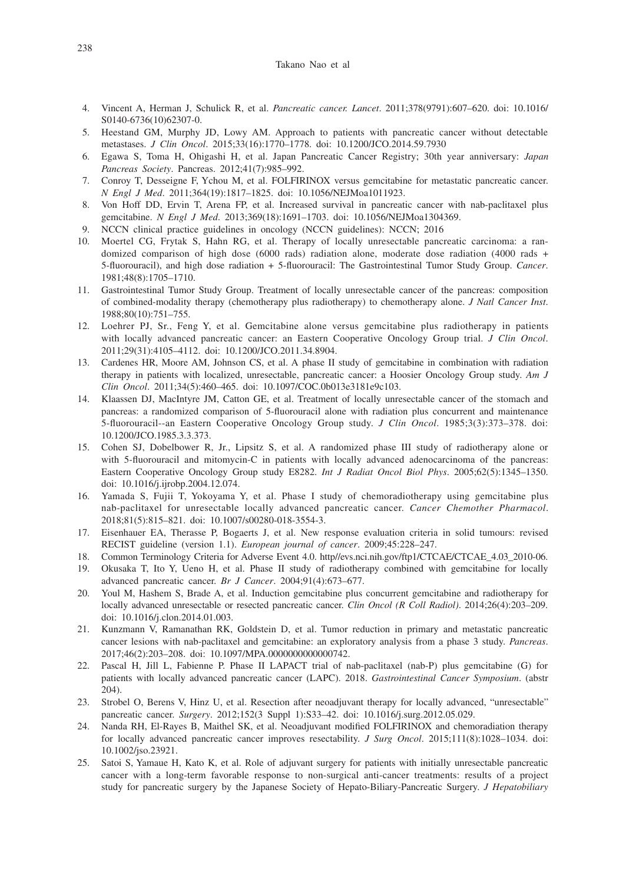#### Takano Nao et al

- 4. Vincent A, Herman J, Schulick R, et al. *Pancreatic cancer. Lancet*. 2011;378(9791):607–620. doi: 10.1016/ S0140-6736(10)62307-0.
- 5. Heestand GM, Murphy JD, Lowy AM. Approach to patients with pancreatic cancer without detectable metastases. *J Clin Oncol*. 2015;33(16):1770–1778. doi: 10.1200/JCO.2014.59.7930
- 6. Egawa S, Toma H, Ohigashi H, et al. Japan Pancreatic Cancer Registry; 30th year anniversary: *Japan Pancreas Society*. Pancreas. 2012;41(7):985–992.
- 7. Conroy T, Desseigne F, Ychou M, et al. FOLFIRINOX versus gemcitabine for metastatic pancreatic cancer. *N Engl J Med*. 2011;364(19):1817–1825. doi: 10.1056/NEJMoa1011923.
- 8. Von Hoff DD, Ervin T, Arena FP, et al. Increased survival in pancreatic cancer with nab-paclitaxel plus gemcitabine. *N Engl J Med*. 2013;369(18):1691–1703. doi: 10.1056/NEJMoa1304369.
- 9. NCCN clinical practice guidelines in oncology (NCCN guidelines): NCCN; 2016
- 10. Moertel CG, Frytak S, Hahn RG, et al. Therapy of locally unresectable pancreatic carcinoma: a randomized comparison of high dose (6000 rads) radiation alone, moderate dose radiation (4000 rads + 5-fluorouracil), and high dose radiation + 5-fluorouracil: The Gastrointestinal Tumor Study Group. *Cancer*. 1981;48(8):1705–1710.
- 11. Gastrointestinal Tumor Study Group. Treatment of locally unresectable cancer of the pancreas: composition of combined-modality therapy (chemotherapy plus radiotherapy) to chemotherapy alone. *J Natl Cancer Inst*. 1988;80(10):751–755.
- 12. Loehrer PJ, Sr., Feng Y, et al. Gemcitabine alone versus gemcitabine plus radiotherapy in patients with locally advanced pancreatic cancer: an Eastern Cooperative Oncology Group trial. *J Clin Oncol*. 2011;29(31):4105–4112. doi: 10.1200/JCO.2011.34.8904.
- 13. Cardenes HR, Moore AM, Johnson CS, et al. A phase II study of gemcitabine in combination with radiation therapy in patients with localized, unresectable, pancreatic cancer: a Hoosier Oncology Group study. *Am J Clin Oncol*. 2011;34(5):460–465. doi: 10.1097/COC.0b013e3181e9c103.
- 14. Klaassen DJ, MacIntyre JM, Catton GE, et al. Treatment of locally unresectable cancer of the stomach and pancreas: a randomized comparison of 5-fluorouracil alone with radiation plus concurrent and maintenance 5-fluorouracil--an Eastern Cooperative Oncology Group study. *J Clin Oncol*. 1985;3(3):373–378. doi: 10.1200/JCO.1985.3.3.373.
- 15. Cohen SJ, Dobelbower R, Jr., Lipsitz S, et al. A randomized phase III study of radiotherapy alone or with 5-fluorouracil and mitomycin-C in patients with locally advanced adenocarcinoma of the pancreas: Eastern Cooperative Oncology Group study E8282. *Int J Radiat Oncol Biol Phys*. 2005;62(5):1345–1350. doi: 10.1016/j.ijrobp.2004.12.074.
- 16. Yamada S, Fujii T, Yokoyama Y, et al. Phase I study of chemoradiotherapy using gemcitabine plus nab-paclitaxel for unresectable locally advanced pancreatic cancer. *Cancer Chemother Pharmacol*. 2018;81(5):815–821. doi: 10.1007/s00280-018-3554-3.
- 17. Eisenhauer EA, Therasse P, Bogaerts J, et al. New response evaluation criteria in solid tumours: revised RECIST guideline (version 1.1). *European journal of cancer*. 2009;45:228–247.
- 18. Common Terminology Criteria for Adverse Event 4.0. http//evs.nci.nih.gov/ftp1/CTCAE/CTCAE\_4.03\_2010-06.
- 19. Okusaka T, Ito Y, Ueno H, et al. Phase II study of radiotherapy combined with gemcitabine for locally advanced pancreatic cancer. *Br J Cancer*. 2004;91(4):673–677.
- 20. Youl M, Hashem S, Brade A, et al. Induction gemcitabine plus concurrent gemcitabine and radiotherapy for locally advanced unresectable or resected pancreatic cancer. *Clin Oncol (R Coll Radiol)*. 2014;26(4):203–209. doi: 10.1016/j.clon.2014.01.003.
- 21. Kunzmann V, Ramanathan RK, Goldstein D, et al. Tumor reduction in primary and metastatic pancreatic cancer lesions with nab-paclitaxel and gemcitabine: an exploratory analysis from a phase 3 study. *Pancreas*. 2017;46(2):203–208. doi: 10.1097/MPA.0000000000000742.
- 22. Pascal H, Jill L, Fabienne P. Phase II LAPACT trial of nab-paclitaxel (nab-P) plus gemcitabine (G) for patients with locally advanced pancreatic cancer (LAPC). 2018. *Gastrointestinal Cancer Symposium*. (abstr 204).
- 23. Strobel O, Berens V, Hinz U, et al. Resection after neoadjuvant therapy for locally advanced, "unresectable" pancreatic cancer. *Surgery*. 2012;152(3 Suppl 1):S33–42. doi: 10.1016/j.surg.2012.05.029.
- 24. Nanda RH, El-Rayes B, Maithel SK, et al. Neoadjuvant modified FOLFIRINOX and chemoradiation therapy for locally advanced pancreatic cancer improves resectability. *J Surg Oncol*. 2015;111(8):1028–1034. doi: 10.1002/jso.23921.
- 25. Satoi S, Yamaue H, Kato K, et al. Role of adjuvant surgery for patients with initially unresectable pancreatic cancer with a long-term favorable response to non-surgical anti-cancer treatments: results of a project study for pancreatic surgery by the Japanese Society of Hepato-Biliary-Pancreatic Surgery. *J Hepatobiliary*